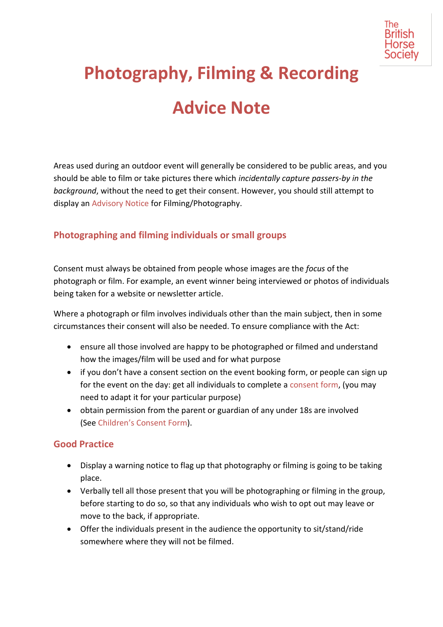

# **Photography, Filming & Recording Advice Note**

Areas used during an outdoor event will generally be considered to be public areas, and you should be able to film or take pictures there which *incidentally capture passers-by in the background*, without the need to get their consent. However, you should still attempt to display an Advisory Notice for Filming/Photography.

### **Photographing and filming individuals or small groups**

Consent must always be obtained from people whose images are the *focus* of the photograph or film. For example, an event winner being interviewed or photos of individuals being taken for a website or newsletter article.

Where a photograph or film involves individuals other than the main subject, then in some circumstances their consent will also be needed. To ensure compliance with the Act:

- ensure all those involved are happy to be photographed or filmed and understand how the images/film will be used and for what purpose
- if you don't have a consent section on the event booking form, or people can sign up for the event on the day: get all individuals to complete a consent form, (you may need to adapt it for your particular purpose)
- obtain permission from the parent or guardian of any under 18s are involved (See Children's Consent Form).

#### **Good Practice**

- Display a warning notice to flag up that photography or filming is going to be taking place.
- Verbally tell all those present that you will be photographing or filming in the group, before starting to do so, so that any individuals who wish to opt out may leave or move to the back, if appropriate.
- Offer the individuals present in the audience the opportunity to sit/stand/ride somewhere where they will not be filmed.